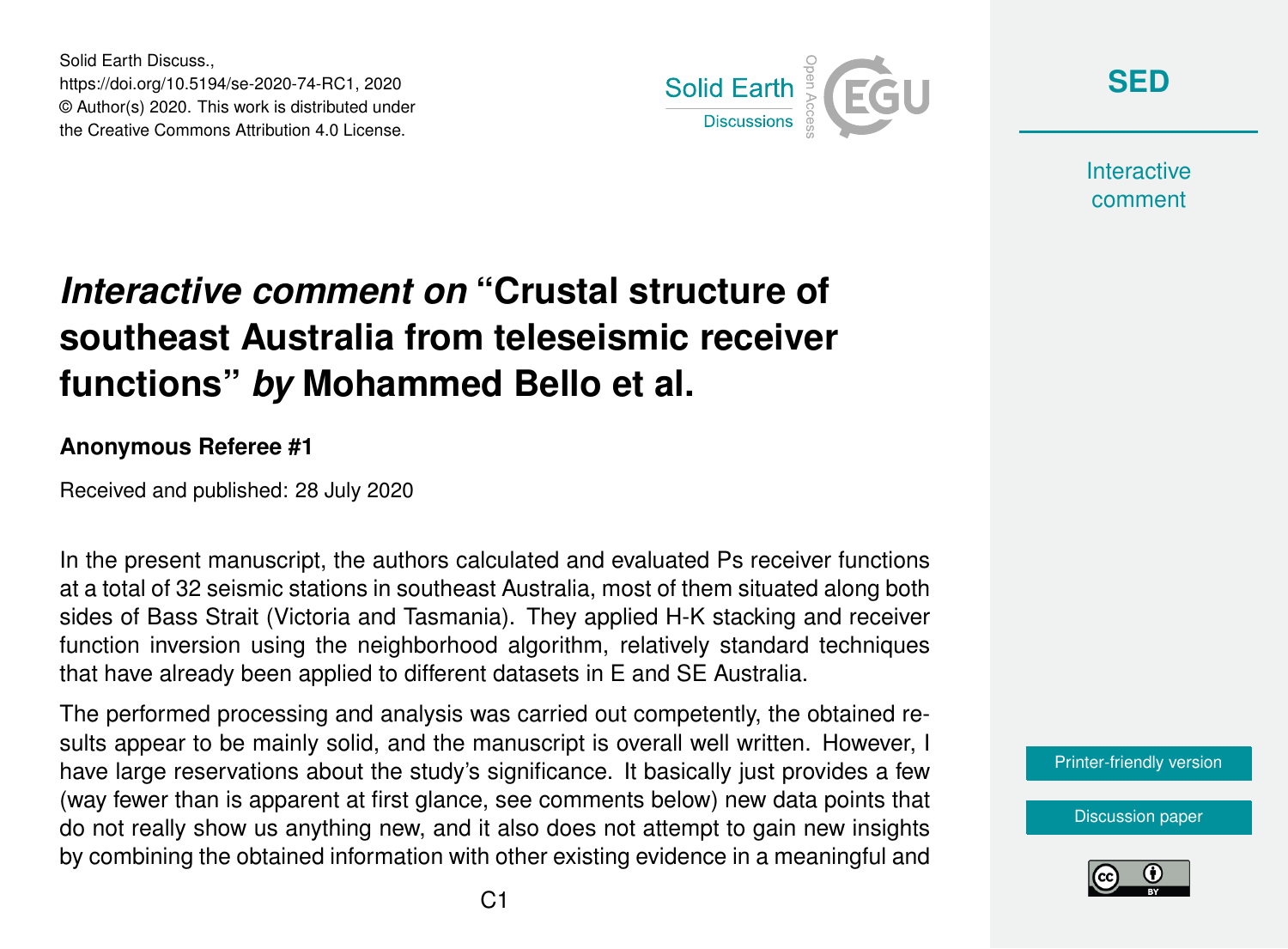Solid Earth Discuss., https://doi.org/10.5194/se-2020-74-RC1, 2020 © Author(s) 2020. This work is distributed under the Creative Commons Attribution 4.0 License.



**[SED](https://se.copernicus.org/preprints/)**

**Interactive** comment

# *Interactive comment on* **"Crustal structure of southeast Australia from teleseismic receiver functions"** *by* **Mohammed Bello et al.**

#### **Anonymous Referee #1**

Received and published: 28 July 2020

In the present manuscript, the authors calculated and evaluated Ps receiver functions at a total of 32 seismic stations in southeast Australia, most of them situated along both sides of Bass Strait (Victoria and Tasmania). They applied H-K stacking and receiver function inversion using the neighborhood algorithm, relatively standard techniques that have already been applied to different datasets in E and SE Australia.

The performed processing and analysis was carried out competently, the obtained results appear to be mainly solid, and the manuscript is overall well written. However, I have large reservations about the study's significance. It basically just provides a few (way fewer than is apparent at first glance, see comments below) new data points that do not really show us anything new, and it also does not attempt to gain new insights by combining the obtained information with other existing evidence in a meaningful and

[Printer-friendly version](https://se.copernicus.org/preprints/se-2020-74/se-2020-74-RC1-print.pdf)

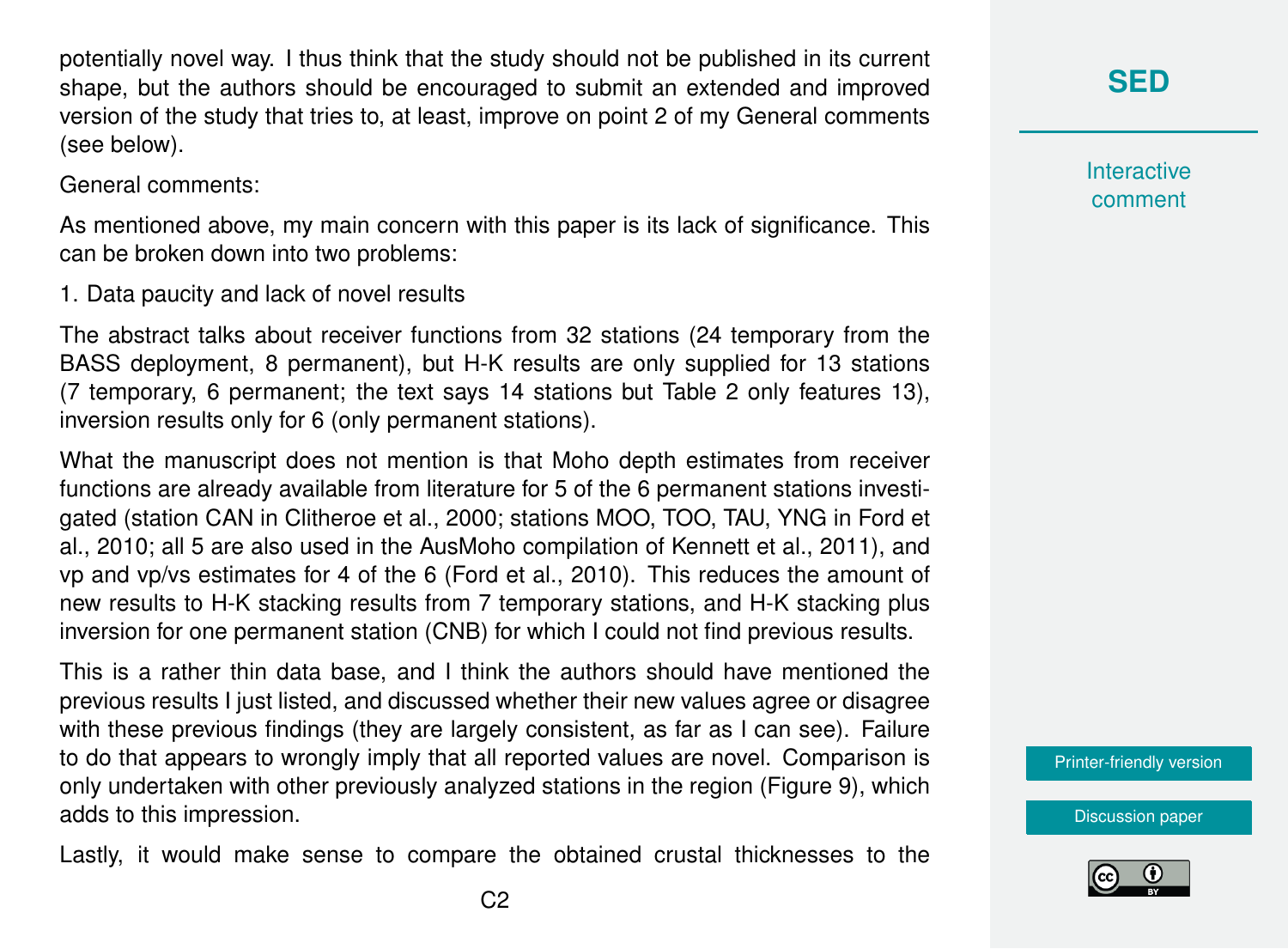potentially novel way. I thus think that the study should not be published in its current shape, but the authors should be encouraged to submit an extended and improved version of the study that tries to, at least, improve on point 2 of my General comments (see below).

General comments:

As mentioned above, my main concern with this paper is its lack of significance. This can be broken down into two problems:

1. Data paucity and lack of novel results

The abstract talks about receiver functions from 32 stations (24 temporary from the BASS deployment, 8 permanent), but H-K results are only supplied for 13 stations (7 temporary, 6 permanent; the text says 14 stations but Table 2 only features 13), inversion results only for 6 (only permanent stations).

What the manuscript does not mention is that Moho depth estimates from receiver functions are already available from literature for 5 of the 6 permanent stations investigated (station CAN in Clitheroe et al., 2000; stations MOO, TOO, TAU, YNG in Ford et al., 2010; all 5 are also used in the AusMoho compilation of Kennett et al., 2011), and vp and vp/vs estimates for 4 of the 6 (Ford et al., 2010). This reduces the amount of new results to H-K stacking results from 7 temporary stations, and H-K stacking plus inversion for one permanent station (CNB) for which I could not find previous results.

This is a rather thin data base, and I think the authors should have mentioned the previous results I just listed, and discussed whether their new values agree or disagree with these previous findings (they are largely consistent, as far as I can see). Failure to do that appears to wrongly imply that all reported values are novel. Comparison is only undertaken with other previously analyzed stations in the region (Figure 9), which adds to this impression.

Lastly, it would make sense to compare the obtained crustal thicknesses to the

**Interactive** comment

[Printer-friendly version](https://se.copernicus.org/preprints/se-2020-74/se-2020-74-RC1-print.pdf)

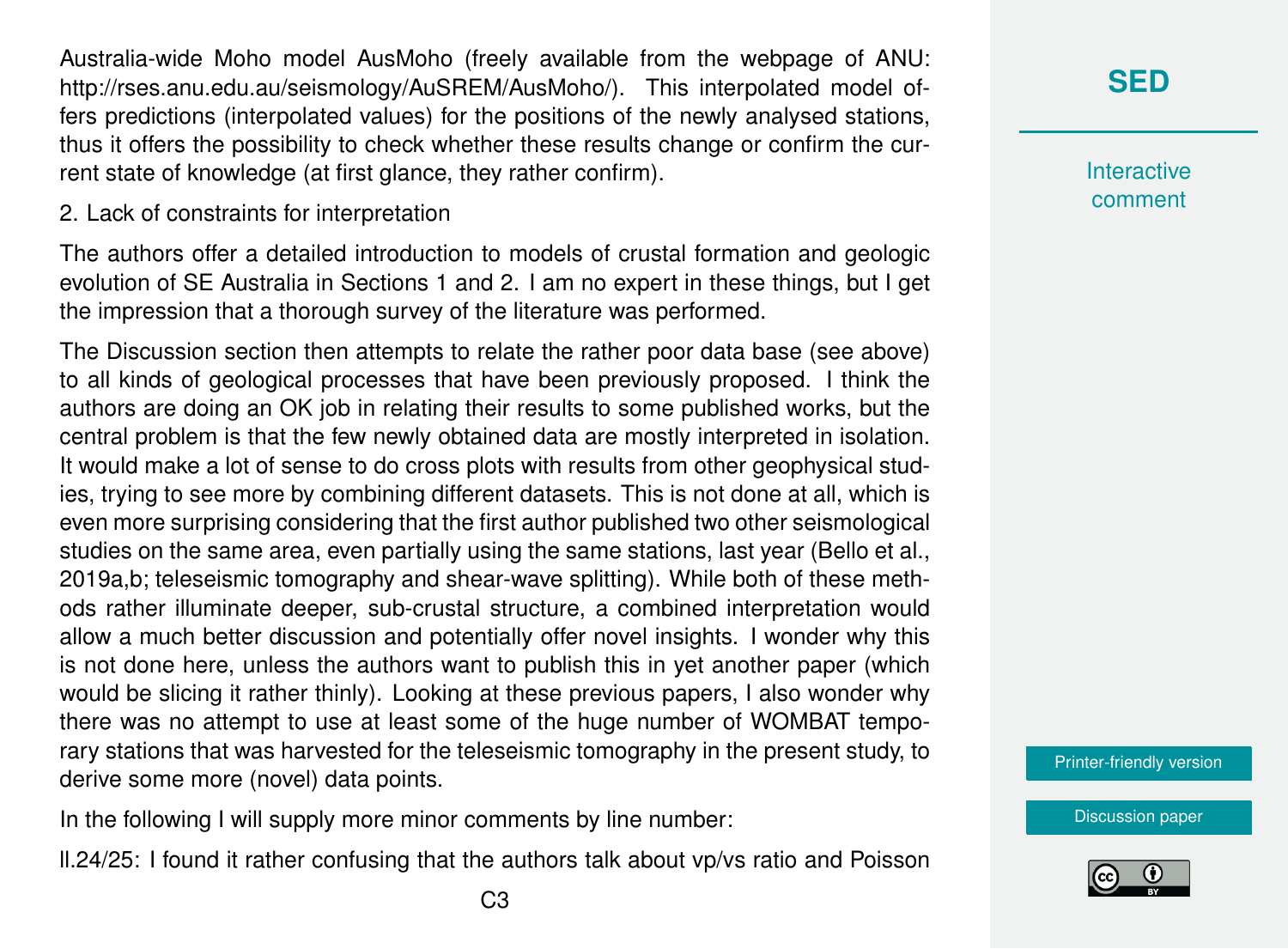Australia-wide Moho model AusMoho (freely available from the webpage of ANU: http://rses.anu.edu.au/seismology/AuSREM/AusMoho/). This interpolated model offers predictions (interpolated values) for the positions of the newly analysed stations, thus it offers the possibility to check whether these results change or confirm the current state of knowledge (at first glance, they rather confirm).

2. Lack of constraints for interpretation

The authors offer a detailed introduction to models of crustal formation and geologic evolution of SE Australia in Sections 1 and 2. I am no expert in these things, but I get the impression that a thorough survey of the literature was performed.

The Discussion section then attempts to relate the rather poor data base (see above) to all kinds of geological processes that have been previously proposed. I think the authors are doing an OK job in relating their results to some published works, but the central problem is that the few newly obtained data are mostly interpreted in isolation. It would make a lot of sense to do cross plots with results from other geophysical studies, trying to see more by combining different datasets. This is not done at all, which is even more surprising considering that the first author published two other seismological studies on the same area, even partially using the same stations, last year (Bello et al., 2019a,b; teleseismic tomography and shear-wave splitting). While both of these methods rather illuminate deeper, sub-crustal structure, a combined interpretation would allow a much better discussion and potentially offer novel insights. I wonder why this is not done here, unless the authors want to publish this in yet another paper (which would be slicing it rather thinly). Looking at these previous papers, I also wonder why there was no attempt to use at least some of the huge number of WOMBAT temporary stations that was harvested for the teleseismic tomography in the present study, to derive some more (novel) data points.

In the following I will supply more minor comments by line number:

ll.24/25: I found it rather confusing that the authors talk about vp/vs ratio and Poisson

**Interactive** comment

[Printer-friendly version](https://se.copernicus.org/preprints/se-2020-74/se-2020-74-RC1-print.pdf)

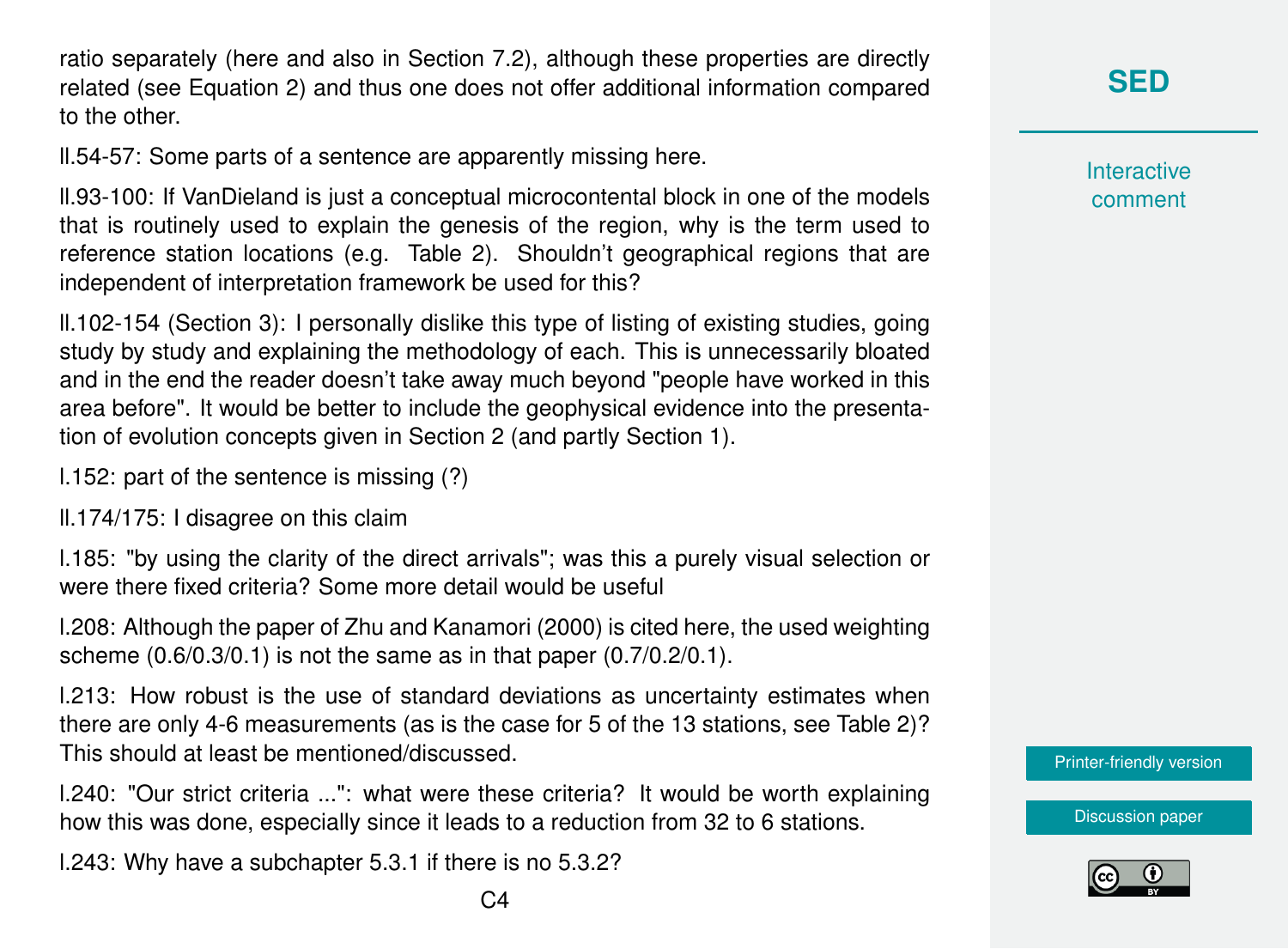ratio separately (here and also in Section 7.2), although these properties are directly related (see Equation 2) and thus one does not offer additional information compared to the other.

ll.54-57: Some parts of a sentence are apparently missing here.

ll.93-100: If VanDieland is just a conceptual microcontental block in one of the models that is routinely used to explain the genesis of the region, why is the term used to reference station locations (e.g. Table 2). Shouldn't geographical regions that are independent of interpretation framework be used for this?

ll.102-154 (Section 3): I personally dislike this type of listing of existing studies, going study by study and explaining the methodology of each. This is unnecessarily bloated and in the end the reader doesn't take away much beyond "people have worked in this area before". It would be better to include the geophysical evidence into the presentation of evolution concepts given in Section 2 (and partly Section 1).

l.152: part of the sentence is missing (?)

ll.174/175: I disagree on this claim

l.185: "by using the clarity of the direct arrivals"; was this a purely visual selection or were there fixed criteria? Some more detail would be useful

l.208: Although the paper of Zhu and Kanamori (2000) is cited here, the used weighting scheme (0.6/0.3/0.1) is not the same as in that paper (0.7/0.2/0.1).

l.213: How robust is the use of standard deviations as uncertainty estimates when there are only 4-6 measurements (as is the case for 5 of the 13 stations, see Table 2)? This should at least be mentioned/discussed.

l.240: "Our strict criteria ...": what were these criteria? It would be worth explaining how this was done, especially since it leads to a reduction from 32 to 6 stations.

l.243: Why have a subchapter 5.3.1 if there is no 5.3.2?

**[SED](https://se.copernicus.org/preprints/)**

**Interactive** comment

[Printer-friendly version](https://se.copernicus.org/preprints/se-2020-74/se-2020-74-RC1-print.pdf)

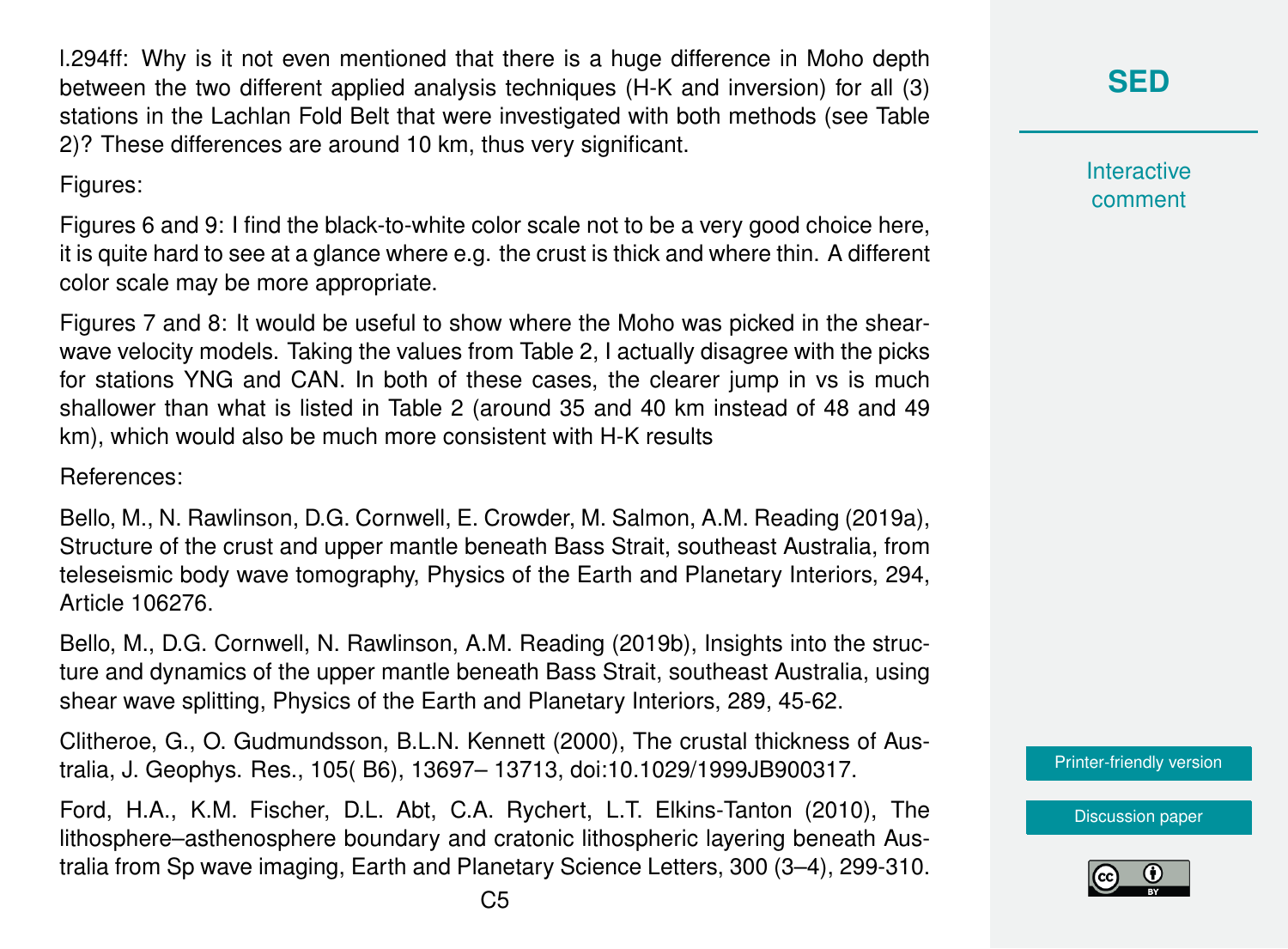l.294ff: Why is it not even mentioned that there is a huge difference in Moho depth between the two different applied analysis techniques (H-K and inversion) for all (3) stations in the Lachlan Fold Belt that were investigated with both methods (see Table 2)? These differences are around 10 km, thus very significant.

### Figures:

Figures 6 and 9: I find the black-to-white color scale not to be a very good choice here, it is quite hard to see at a glance where e.g. the crust is thick and where thin. A different color scale may be more appropriate.

Figures 7 and 8: It would be useful to show where the Moho was picked in the shearwave velocity models. Taking the values from Table 2, I actually disagree with the picks for stations YNG and CAN. In both of these cases, the clearer jump in vs is much shallower than what is listed in Table 2 (around 35 and 40 km instead of 48 and 49 km), which would also be much more consistent with H-K results

### References:

Bello, M., N. Rawlinson, D.G. Cornwell, E. Crowder, M. Salmon, A.M. Reading (2019a), Structure of the crust and upper mantle beneath Bass Strait, southeast Australia, from teleseismic body wave tomography, Physics of the Earth and Planetary Interiors, 294, Article 106276.

Bello, M., D.G. Cornwell, N. Rawlinson, A.M. Reading (2019b), Insights into the structure and dynamics of the upper mantle beneath Bass Strait, southeast Australia, using shear wave splitting, Physics of the Earth and Planetary Interiors, 289, 45-62.

Clitheroe, G., O. Gudmundsson, B.L.N. Kennett (2000), The crustal thickness of Australia, J. Geophys. Res., 105( B6), 13697– 13713, doi:10.1029/1999JB900317.

Ford, H.A., K.M. Fischer, D.L. Abt, C.A. Rychert, L.T. Elkins-Tanton (2010), The lithosphere–asthenosphere boundary and cratonic lithospheric layering beneath Australia from Sp wave imaging, Earth and Planetary Science Letters, 300 (3–4), 299-310. **Interactive** comment

[Printer-friendly version](https://se.copernicus.org/preprints/se-2020-74/se-2020-74-RC1-print.pdf)